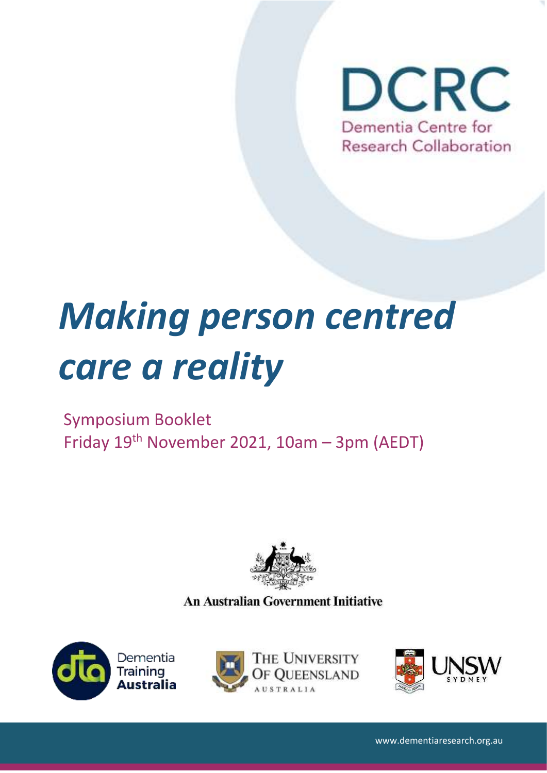

# *Making person centred care a reality*

# Symposium Booklet Friday 19th November 2021, 10am – 3pm (AEDT)



**An Australian Government Initiative** 





1



www.dementiaresearch.org.au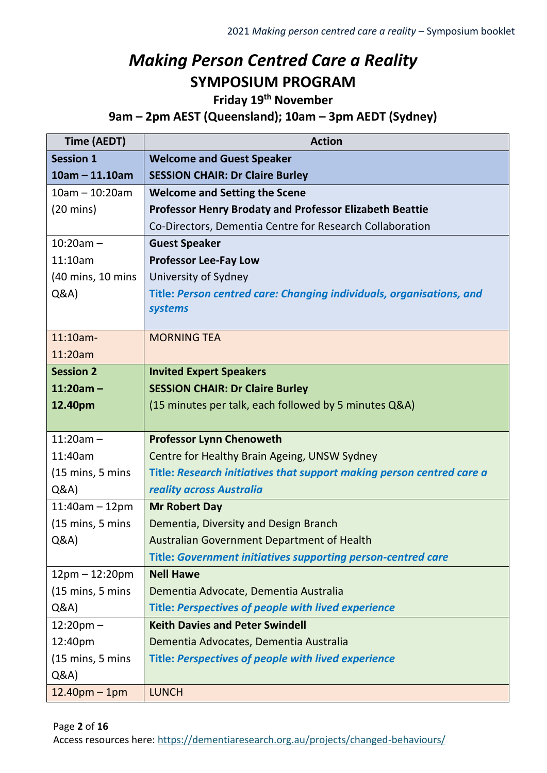# *Making Person Centred Care a Reality* **SYMPOSIUM PROGRAM**

**Friday 19th November**

**9am – 2pm AEST (Queensland); 10am – 3pm AEDT (Sydney)**

| Time (AEDT)                         | <b>Action</b>                                                         |
|-------------------------------------|-----------------------------------------------------------------------|
| <b>Session 1</b>                    | <b>Welcome and Guest Speaker</b>                                      |
| $10am - 11.10am$                    | <b>SESSION CHAIR: Dr Claire Burley</b>                                |
| $10am - 10:20am$                    | <b>Welcome and Setting the Scene</b>                                  |
| $(20 \text{ mins})$                 | <b>Professor Henry Brodaty and Professor Elizabeth Beattie</b>        |
|                                     | Co-Directors, Dementia Centre for Research Collaboration              |
| $10:20am -$                         | <b>Guest Speaker</b>                                                  |
| 11:10am                             | <b>Professor Lee-Fay Low</b>                                          |
| (40 mins, 10 mins                   | University of Sydney                                                  |
| Q&A                                 | Title: Person centred care: Changing individuals, organisations, and  |
|                                     | systems                                                               |
| 11:10am-                            | <b>MORNING TEA</b>                                                    |
| 11:20am                             |                                                                       |
| <b>Session 2</b>                    | <b>Invited Expert Speakers</b>                                        |
| $11:20am -$                         | <b>SESSION CHAIR: Dr Claire Burley</b>                                |
| 12.40pm                             | (15 minutes per talk, each followed by 5 minutes Q&A)                 |
|                                     |                                                                       |
| $11:20am -$                         | <b>Professor Lynn Chenoweth</b>                                       |
| 11:40am                             | Centre for Healthy Brain Ageing, UNSW Sydney                          |
| $(15 \text{ mins}, 5 \text{ mins})$ | Title: Research initiatives that support making person centred care a |
| Q&A                                 | reality across Australia                                              |
| $11:40am - 12pm$                    | <b>Mr Robert Day</b>                                                  |
| $(15 \text{ mins}, 5 \text{ mins})$ | Dementia, Diversity and Design Branch                                 |
| Q&A                                 | Australian Government Department of Health                            |
|                                     | <b>Title: Government initiatives supporting person-centred care</b>   |
| $12pm - 12:20pm$                    | <b>Nell Hawe</b>                                                      |
| $(15 \text{ mins}, 5 \text{ mins})$ | Dementia Advocate, Dementia Australia                                 |
| Q&A                                 | Title: Perspectives of people with lived experience                   |
| $12:20$ pm $-$                      | <b>Keith Davies and Peter Swindell</b>                                |
| 12:40pm                             | Dementia Advocates, Dementia Australia                                |
| $(15 \text{ mins}, 5 \text{ mins})$ | Title: Perspectives of people with lived experience                   |
| Q&A                                 |                                                                       |
| $12.40pm - 1pm$                     | <b>LUNCH</b>                                                          |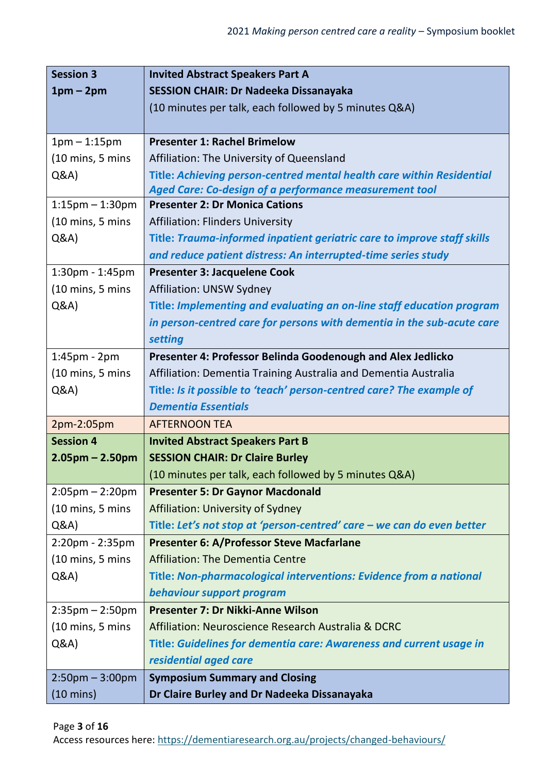| <b>Session 3</b>                    | <b>Invited Abstract Speakers Part A</b>                                 |
|-------------------------------------|-------------------------------------------------------------------------|
| $1pm-2pm$                           | <b>SESSION CHAIR: Dr Nadeeka Dissanayaka</b>                            |
|                                     | (10 minutes per talk, each followed by 5 minutes Q&A)                   |
|                                     |                                                                         |
| $1pm - 1:15pm$                      | <b>Presenter 1: Rachel Brimelow</b>                                     |
| $(10 \text{ mins}, 5 \text{ mins})$ | Affiliation: The University of Queensland                               |
| Q&A                                 | Title: Achieving person-centred mental health care within Residential   |
|                                     | Aged Care: Co-design of a performance measurement tool                  |
| $1:15$ pm $-1:30$ pm                | <b>Presenter 2: Dr Monica Cations</b>                                   |
| $(10 \text{ mins}, 5 \text{ mins})$ | <b>Affiliation: Flinders University</b>                                 |
| Q&A                                 | Title: Trauma-informed inpatient geriatric care to improve staff skills |
|                                     | and reduce patient distress: An interrupted-time series study           |
| 1:30pm - 1:45pm                     | Presenter 3: Jacquelene Cook                                            |
| $(10 \text{ mins}, 5 \text{ mins})$ | Affiliation: UNSW Sydney                                                |
| Q&A                                 | Title: Implementing and evaluating an on-line staff education program   |
|                                     | in person-centred care for persons with dementia in the sub-acute care  |
|                                     | setting                                                                 |
| $1:45$ pm - $2$ pm                  | Presenter 4: Professor Belinda Goodenough and Alex Jedlicko             |
| $(10 \text{ mins}, 5 \text{ mins})$ | Affiliation: Dementia Training Australia and Dementia Australia         |
| Q&A                                 | Title: Is it possible to 'teach' person-centred care? The example of    |
|                                     | <b>Dementia Essentials</b>                                              |
| 2pm-2:05pm                          | <b>AFTERNOON TEA</b>                                                    |
| <b>Session 4</b>                    | <b>Invited Abstract Speakers Part B</b>                                 |
| $2.05$ pm – 2.50pm                  | <b>SESSION CHAIR: Dr Claire Burley</b>                                  |
|                                     | (10 minutes per talk, each followed by 5 minutes Q&A)                   |
| $2:05 \text{pm} - 2:20 \text{pm}$   | <b>Presenter 5: Dr Gaynor Macdonald</b>                                 |
| $(10 \text{ mins}, 5 \text{ mins})$ | Affiliation: University of Sydney                                       |
| Q&A                                 | Title: Let's not stop at 'person-centred' care – we can do even better  |
| 2:20pm - 2:35pm                     | Presenter 6: A/Professor Steve Macfarlane                               |
| $(10 \text{ mins}, 5 \text{ mins})$ | <b>Affiliation: The Dementia Centre</b>                                 |
| Q&A                                 | Title: Non-pharmacological interventions: Evidence from a national      |
|                                     | behaviour support program                                               |
| $2:35 \text{pm} - 2:50 \text{pm}$   | Presenter 7: Dr Nikki-Anne Wilson                                       |
| $(10 \text{ mins}, 5 \text{ mins})$ | Affiliation: Neuroscience Research Australia & DCRC                     |
| Q&A                                 | Title: Guidelines for dementia care: Awareness and current usage in     |
|                                     | residential aged care                                                   |
| $2:50$ pm $-3:00$ pm                | <b>Symposium Summary and Closing</b>                                    |
| $(10 \text{ mins})$                 | Dr Claire Burley and Dr Nadeeka Dissanayaka                             |

Page **3** of **16**

Access resources here:<https://dementiaresearch.org.au/projects/changed-behaviours/>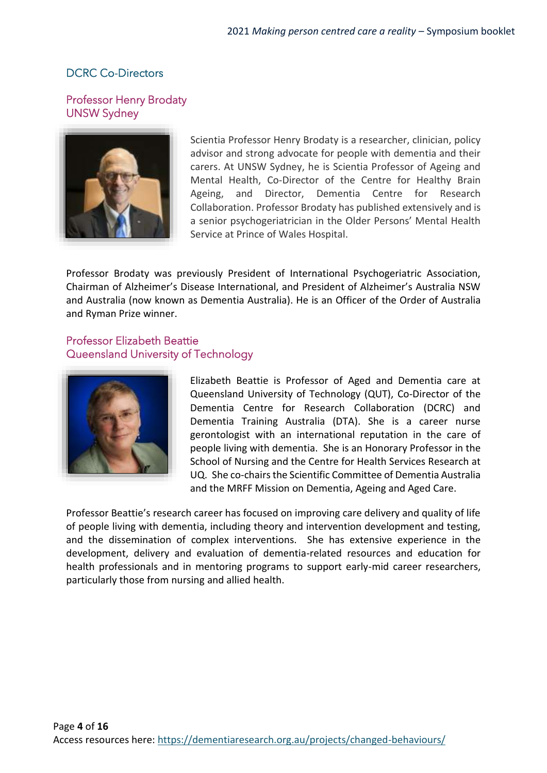# DCRC Co-Directors

### Professor Henry Brodaty UNSW Sydney



Scientia Professor Henry Brodaty is a researcher, clinician, policy advisor and strong advocate for people with dementia and their carers. At UNSW Sydney, he is Scientia Professor of Ageing and Mental Health, Co-Director of the Centre for Healthy Brain Ageing, and Director, Dementia Centre for Research Collaboration. Professor Brodaty has published extensively and is a senior psychogeriatrician in the Older Persons' Mental Health Service at Prince of Wales Hospital.

Professor Brodaty was previously President of International Psychogeriatric Association, Chairman of Alzheimer's Disease International, and President of Alzheimer's Australia NSW and Australia (now known as Dementia Australia). He is an Officer of the Order of Australia and Ryman Prize winner.

# Professor Elizabeth Beattie Queensland University of Technology



Elizabeth Beattie is Professor of Aged and Dementia care at Queensland University of Technology (QUT), Co-Director of the Dementia Centre for Research Collaboration (DCRC) and Dementia Training Australia (DTA). She is a career nurse gerontologist with an international reputation in the care of people living with dementia. She is an Honorary Professor in the School of Nursing and the Centre for Health Services Research at UQ. She co-chairs the Scientific Committee of Dementia Australia and the MRFF Mission on Dementia, Ageing and Aged Care.

Professor Beattie's research career has focused on improving care delivery and quality of life of people living with dementia, including theory and intervention development and testing, and the dissemination of complex interventions. She has extensive experience in the development, delivery and evaluation of dementia-related resources and education for health professionals and in mentoring programs to support early-mid career researchers, particularly those from nursing and allied health.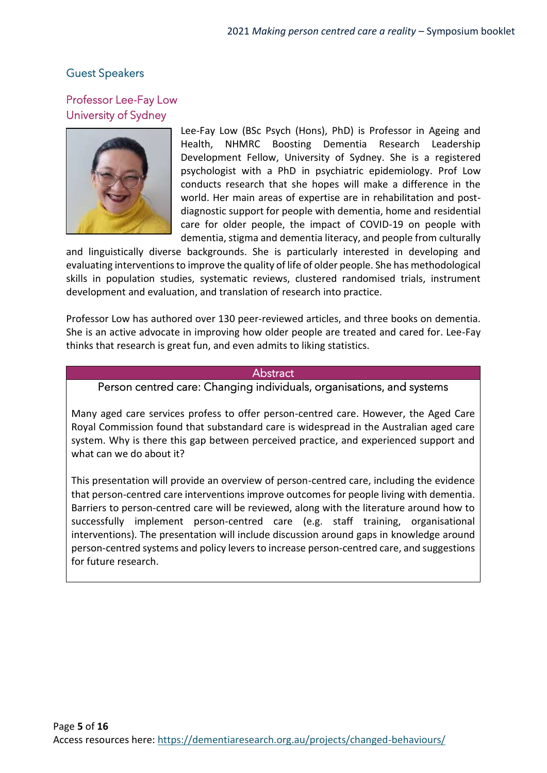# Guest Speakers

# Professor Lee-Fay Low University of Sydney



Lee-Fay Low (BSc Psych (Hons), PhD) is Professor in Ageing and Health, NHMRC Boosting Dementia Research Leadership Development Fellow, University of Sydney. She is a registered psychologist with a PhD in psychiatric epidemiology. Prof Low conducts research that she hopes will make a difference in the world. Her main areas of expertise are in rehabilitation and postdiagnostic support for people with dementia, home and residential care for older people, the impact of COVID-19 on people with dementia, stigma and dementia literacy, and people from culturally

and linguistically diverse backgrounds. She is particularly interested in developing and evaluating interventions to improve the quality of life of older people. She has methodological skills in population studies, systematic reviews, clustered randomised trials, instrument development and evaluation, and translation of research into practice.

Professor Low has authored over 130 peer-reviewed articles, and three books on dementia. She is an active advocate in improving how older people are treated and cared for. Lee-Fay thinks that research is great fun, and even admits to liking statistics.

#### Abstract

Person centred care: Changing individuals, organisations, and systems

Many aged care services profess to offer person-centred care. However, the Aged Care Royal Commission found that substandard care is widespread in the Australian aged care system. Why is there this gap between perceived practice, and experienced support and what can we do about it?

This presentation will provide an overview of person-centred care, including the evidence that person-centred care interventions improve outcomes for people living with dementia. Barriers to person-centred care will be reviewed, along with the literature around how to successfully implement person-centred care (e.g. staff training, organisational interventions). The presentation will include discussion around gaps in knowledge around person-centred systems and policy levers to increase person-centred care, and suggestions for future research.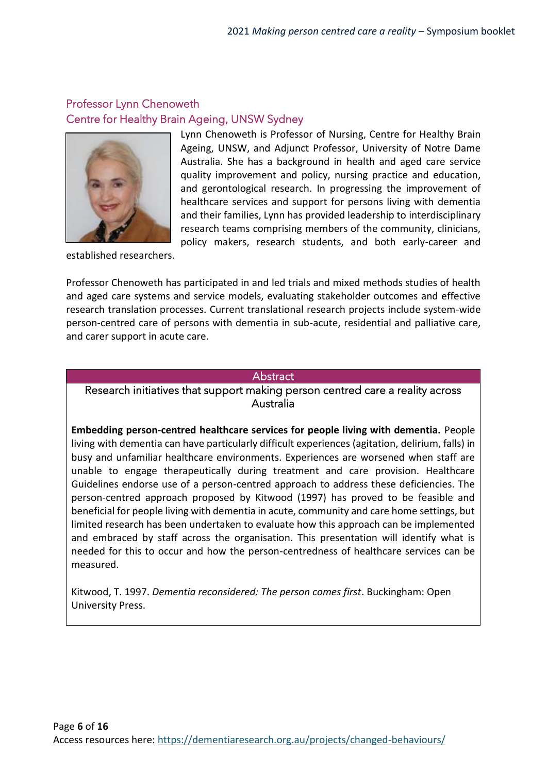# Professor Lynn Chenoweth Centre for Healthy Brain Ageing, UNSW Sydney



Lynn Chenoweth is Professor of Nursing, Centre for Healthy Brain Ageing, UNSW, and Adjunct Professor, University of Notre Dame Australia. She has a background in health and aged care service quality improvement and policy, nursing practice and education, and gerontological research. In progressing the improvement of healthcare services and support for persons living with dementia and their families, Lynn has provided leadership to interdisciplinary research teams comprising members of the community, clinicians, policy makers, research students, and both early-career and

established researchers.

Professor Chenoweth has participated in and led trials and mixed methods studies of health and aged care systems and service models, evaluating stakeholder outcomes and effective research translation processes. Current translational research projects include system-wide person-centred care of persons with dementia in sub-acute, residential and palliative care, and carer support in acute care.

#### **Abstract**

#### Research initiatives that support making person centred care a reality across Australia

**Embedding person-centred healthcare services for people living with dementia.** People living with dementia can have particularly difficult experiences (agitation, delirium, falls) in busy and unfamiliar healthcare environments. Experiences are worsened when staff are unable to engage therapeutically during treatment and care provision. Healthcare Guidelines endorse use of a person-centred approach to address these deficiencies. The person-centred approach proposed by Kitwood (1997) has proved to be feasible and beneficial for people living with dementia in acute, community and care home settings, but limited research has been undertaken to evaluate how this approach can be implemented and embraced by staff across the organisation. This presentation will identify what is needed for this to occur and how the person-centredness of healthcare services can be measured.

Kitwood, T. 1997. *Dementia reconsidered: The person comes first*. Buckingham: Open University Press.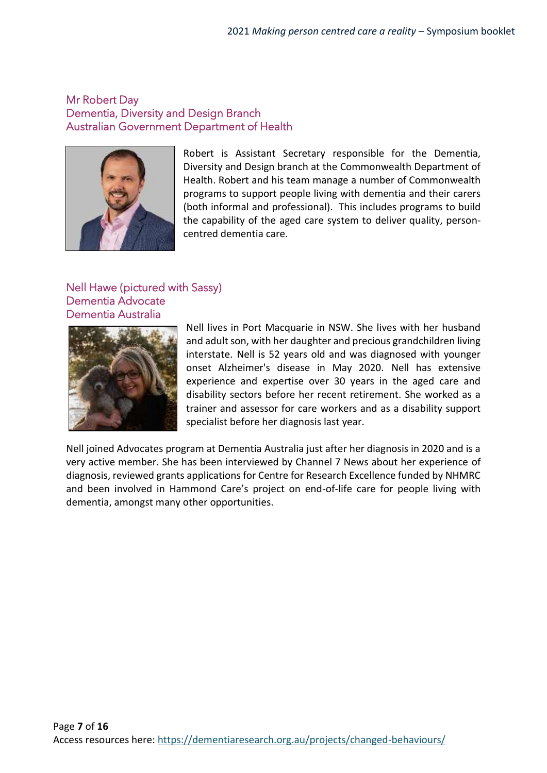#### Mr Robert Day Dementia, Diversity and Design Branch Australian Government Department of Health



Robert is Assistant Secretary responsible for the Dementia, Diversity and Design branch at the Commonwealth Department of Health. Robert and his team manage a number of Commonwealth programs to support people living with dementia and their carers (both informal and professional). This includes programs to build the capability of the aged care system to deliver quality, personcentred dementia care.

#### Nell Hawe (pictured with Sassy) Dementia Advocate Dementia Australia



Nell lives in Port Macquarie in NSW. She lives with her husband and adult son, with her daughter and precious grandchildren living interstate. Nell is 52 years old and was diagnosed with younger onset Alzheimer's disease in May 2020. Nell has extensive experience and expertise over 30 years in the aged care and disability sectors before her recent retirement. She worked as a trainer and assessor for care workers and as a disability support specialist before her diagnosis last year.

Nell joined Advocates program at Dementia Australia just after her diagnosis in 2020 and is a very active member. She has been interviewed by Channel 7 News about her experience of diagnosis, reviewed grants applications for Centre for Research Excellence funded by NHMRC and been involved in Hammond Care's project on end-of-life care for people living with dementia, amongst many other opportunities.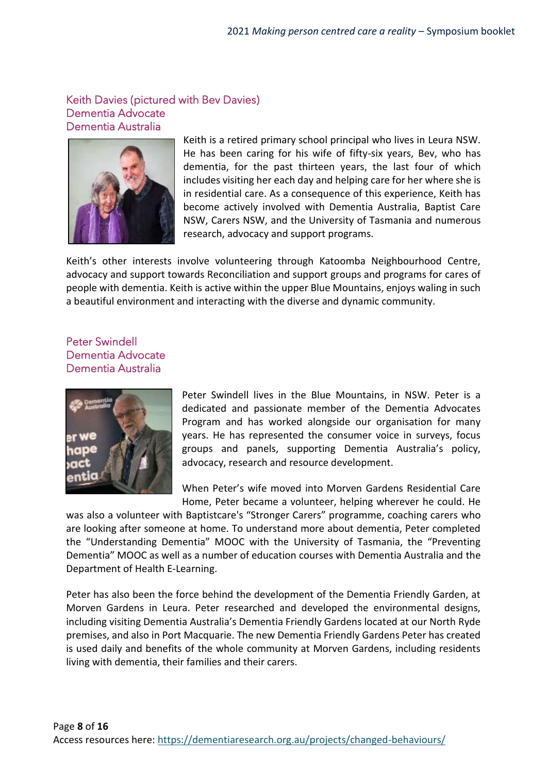#### Keith Davies (pictured with Bev Davies) Dementia Advocate Dementia Australia



Keith is a retired primary school principal who lives in Leura NSW. He has been caring for his wife of fifty-six years, Bev, who has dementia, for the past thirteen years, the last four of which includes visiting her each day and helping care for her where she is in residential care. As a consequence of this experience, Keith has become actively involved with Dementia Australia, Baptist Care NSW, Carers NSW, and the University of Tasmania and numerous research, advocacy and support programs.

Keith's other interests involve volunteering through Katoomba Neighbourhood Centre, advocacy and support towards Reconciliation and support groups and programs for cares of people with dementia. Keith is active within the upper Blue Mountains, enjoys waling in such a beautiful environment and interacting with the diverse and dynamic community.

### Peter Swindell Dementia Advocate Dementia Australia



Peter Swindell lives in the Blue Mountains, in NSW. Peter is a dedicated and passionate member of the Dementia Advocates Program and has worked alongside our organisation for many years. He has represented the consumer voice in surveys, focus groups and panels, supporting Dementia Australia's policy, advocacy, research and resource development.

When Peter's wife moved into Morven Gardens Residential Care Home, Peter became a volunteer, helping wherever he could. He

was also a volunteer with Baptistcare's "Stronger Carers" programme, coaching carers who are looking after someone at home. To understand more about dementia, Peter completed the "Understanding Dementia" MOOC with the University of Tasmania, the "Preventing Dementia" MOOC as well as a number of education courses with Dementia Australia and the Department of Health E-Learning.

Peter has also been the force behind the development of the Dementia Friendly Garden, at Morven Gardens in Leura. Peter researched and developed the environmental designs, including visiting Dementia Australia's Dementia Friendly Gardens located at our North Ryde premises, and also in Port Macquarie. The new Dementia Friendly Gardens Peter has created is used daily and benefits of the whole community at Morven Gardens, including residents living with dementia, their families and their carers.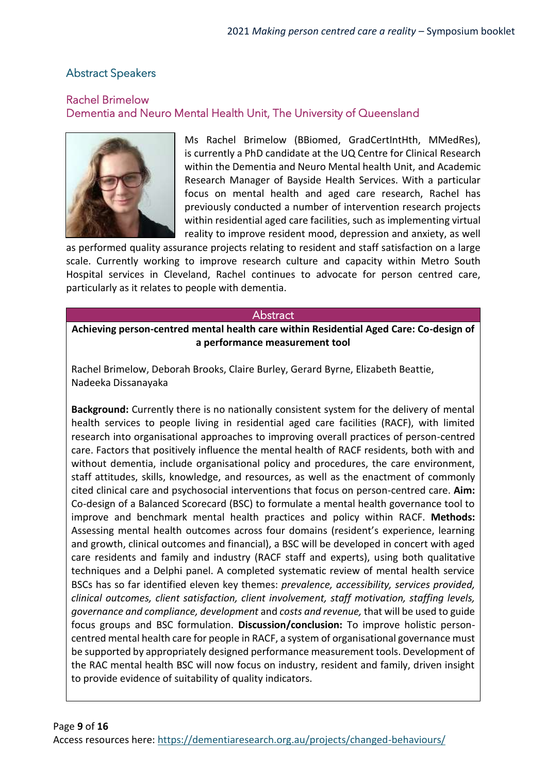# Abstract Speakers

### Rachel Brimelow Dementia and Neuro Mental Health Unit, The University of Queensland



Ms Rachel Brimelow (BBiomed, GradCertIntHth, MMedRes), is currently a PhD candidate at the UQ Centre for Clinical Research within the Dementia and Neuro Mental health Unit, and Academic Research Manager of Bayside Health Services. With a particular focus on mental health and aged care research, Rachel has previously conducted a number of intervention research projects within residential aged care facilities, such as implementing virtual reality to improve resident mood, depression and anxiety, as well

as performed quality assurance projects relating to resident and staff satisfaction on a large scale. Currently working to improve research culture and capacity within Metro South Hospital services in Cleveland, Rachel continues to advocate for person centred care, particularly as it relates to people with dementia.

#### **Abstract**

**Achieving person-centred mental health care within Residential Aged Care: Co-design of a performance measurement tool**

Rachel Brimelow, Deborah Brooks, Claire Burley, Gerard Byrne, Elizabeth Beattie, Nadeeka Dissanayaka

**Background:** Currently there is no nationally consistent system for the delivery of mental health services to people living in residential aged care facilities (RACF), with limited research into organisational approaches to improving overall practices of person-centred care. Factors that positively influence the mental health of RACF residents, both with and without dementia, include organisational policy and procedures, the care environment, staff attitudes, skills, knowledge, and resources, as well as the enactment of commonly cited clinical care and psychosocial interventions that focus on person-centred care. **Aim:** Co-design of a Balanced Scorecard (BSC) to formulate a mental health governance tool to improve and benchmark mental health practices and policy within RACF. **Methods:** Assessing mental health outcomes across four domains (resident's experience, learning and growth, clinical outcomes and financial), a BSC will be developed in concert with aged care residents and family and industry (RACF staff and experts), using both qualitative techniques and a Delphi panel. A completed systematic review of mental health service BSCs has so far identified eleven key themes: *prevalence, accessibility, services provided, clinical outcomes, client satisfaction, client involvement, staff motivation, staffing levels, governance and compliance, development* and *costs and revenue,* that will be used to guide focus groups and BSC formulation. **Discussion/conclusion:** To improve holistic personcentred mental health care for people in RACF, a system of organisational governance must be supported by appropriately designed performance measurement tools. Development of the RAC mental health BSC will now focus on industry, resident and family, driven insight to provide evidence of suitability of quality indicators.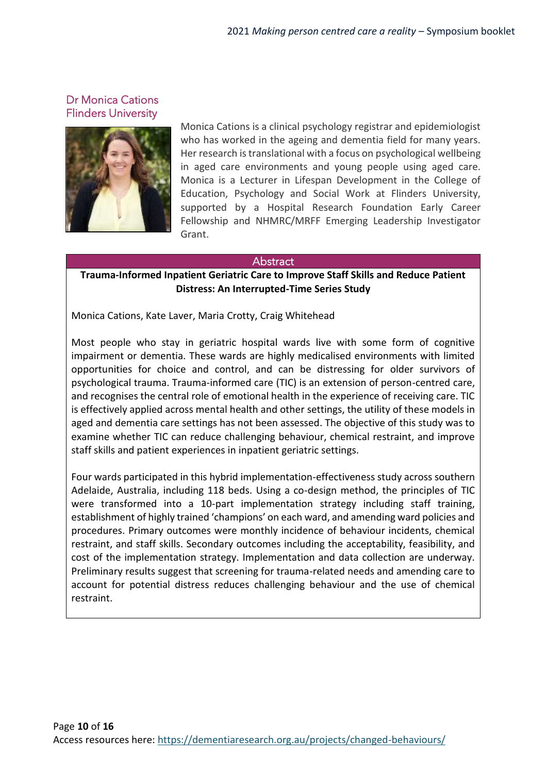Dr Monica Cations Flinders University



Monica Cations is a clinical psychology registrar and epidemiologist who has worked in the ageing and dementia field for many years. Her research is translational with a focus on psychological wellbeing in aged care environments and young people using aged care. Monica is a Lecturer in Lifespan Development in the College of Education, Psychology and Social Work at Flinders University, supported by a Hospital Research Foundation Early Career Fellowship and NHMRC/MRFF Emerging Leadership Investigator Grant.

#### **Abstract**

#### **Trauma-Informed Inpatient Geriatric Care to Improve Staff Skills and Reduce Patient Distress: An Interrupted-Time Series Study**

Monica Cations, Kate Laver, Maria Crotty, Craig Whitehead

Most people who stay in geriatric hospital wards live with some form of cognitive impairment or dementia. These wards are highly medicalised environments with limited opportunities for choice and control, and can be distressing for older survivors of psychological trauma. Trauma-informed care (TIC) is an extension of person-centred care, and recognises the central role of emotional health in the experience of receiving care. TIC is effectively applied across mental health and other settings, the utility of these models in aged and dementia care settings has not been assessed. The objective of this study was to examine whether TIC can reduce challenging behaviour, chemical restraint, and improve staff skills and patient experiences in inpatient geriatric settings.

Four wards participated in this hybrid implementation-effectiveness study across southern Adelaide, Australia, including 118 beds. Using a co-design method, the principles of TIC were transformed into a 10-part implementation strategy including staff training, establishment of highly trained 'champions' on each ward, and amending ward policies and procedures. Primary outcomes were monthly incidence of behaviour incidents, chemical restraint, and staff skills. Secondary outcomes including the acceptability, feasibility, and cost of the implementation strategy. Implementation and data collection are underway. Preliminary results suggest that screening for trauma-related needs and amending care to account for potential distress reduces challenging behaviour and the use of chemical restraint.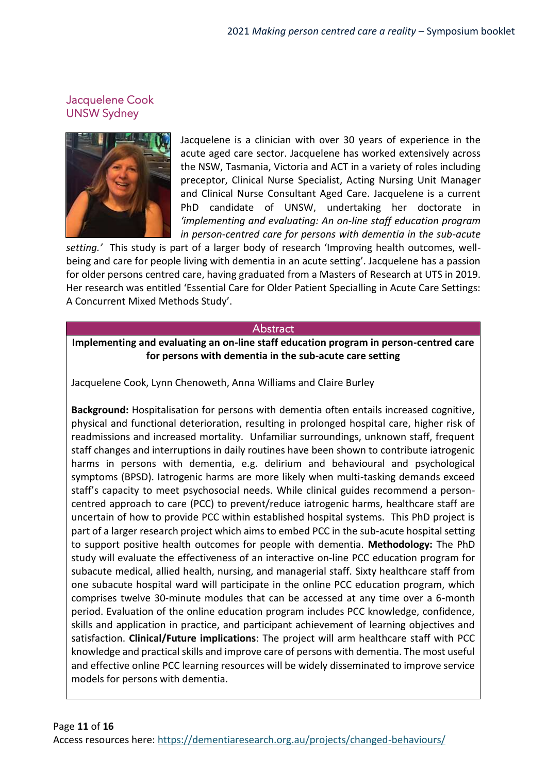# Jacquelene Cook UNSW Sydney



Jacquelene is a clinician with over 30 years of experience in the acute aged care sector. Jacquelene has worked extensively across the NSW, Tasmania, Victoria and ACT in a variety of roles including preceptor, Clinical Nurse Specialist, Acting Nursing Unit Manager and Clinical Nurse Consultant Aged Care. Jacquelene is a current PhD candidate of UNSW, undertaking her doctorate in *'implementing and evaluating: An on-line staff education program in person-centred care for persons with dementia in the sub-acute*

*setting.'* This study is part of a larger body of research 'Improving health outcomes, wellbeing and care for people living with dementia in an acute setting'. Jacquelene has a passion for older persons centred care, having graduated from a Masters of Research at UTS in 2019. Her research was entitled 'Essential Care for Older Patient Specialling in Acute Care Settings: A Concurrent Mixed Methods Study'.

#### Abstract

**Implementing and evaluating an on-line staff education program in person-centred care for persons with dementia in the sub-acute care setting**

Jacquelene Cook, Lynn Chenoweth, Anna Williams and Claire Burley

**Background:** Hospitalisation for persons with dementia often entails increased cognitive, physical and functional deterioration, resulting in prolonged hospital care, higher risk of readmissions and increased mortality. Unfamiliar surroundings, unknown staff, frequent staff changes and interruptions in daily routines have been shown to contribute iatrogenic harms in persons with dementia, e.g. delirium and behavioural and psychological symptoms (BPSD). Iatrogenic harms are more likely when multi-tasking demands exceed staff's capacity to meet psychosocial needs. While clinical guides recommend a personcentred approach to care (PCC) to prevent/reduce iatrogenic harms, healthcare staff are uncertain of how to provide PCC within established hospital systems. This PhD project is part of a larger research project which aims to embed PCC in the sub-acute hospital setting to support positive health outcomes for people with dementia. **Methodology:** The PhD study will evaluate the effectiveness of an interactive on-line PCC education program for subacute medical, allied health, nursing, and managerial staff. Sixty healthcare staff from one subacute hospital ward will participate in the online PCC education program, which comprises twelve 30-minute modules that can be accessed at any time over a 6-month period. Evaluation of the online education program includes PCC knowledge, confidence, skills and application in practice, and participant achievement of learning objectives and satisfaction. **Clinical/Future implications**: The project will arm healthcare staff with PCC knowledge and practical skills and improve care of persons with dementia. The most useful and effective online PCC learning resources will be widely disseminated to improve service models for persons with dementia.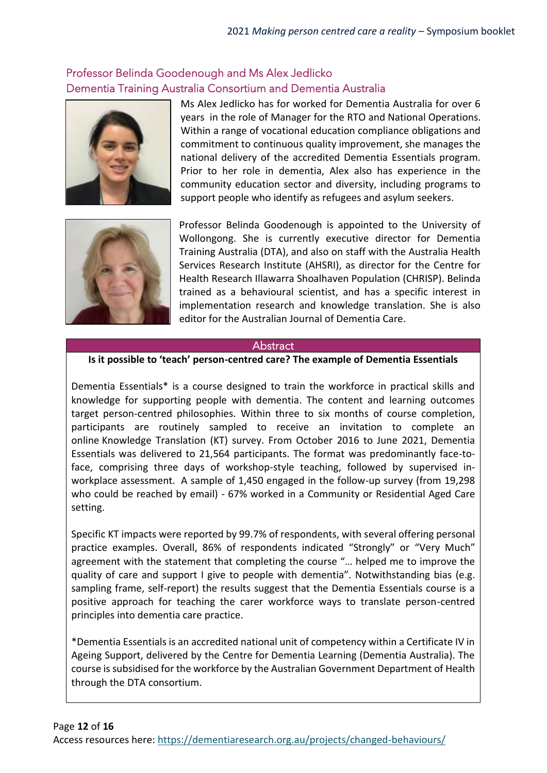# Professor Belinda Goodenough and Ms Alex Jedlicko Dementia Training Australia Consortium and Dementia Australia



Ms Alex Jedlicko has for worked for Dementia Australia for over 6 years in the role of Manager for the RTO and National Operations. Within a range of vocational education compliance obligations and commitment to continuous quality improvement, she manages the national delivery of the accredited Dementia Essentials program. Prior to her role in dementia, Alex also has experience in the community education sector and diversity, including programs to support people who identify as refugees and asylum seekers.



Professor Belinda Goodenough is appointed to the University of Wollongong. She is currently executive director for Dementia Training Australia (DTA), and also on staff with the Australia Health Services Research Institute (AHSRI), as director for the Centre for Health Research Illawarra Shoalhaven Population (CHRISP). Belinda trained as a behavioural scientist, and has a specific interest in implementation research and knowledge translation. She is also editor for the Australian Journal of Dementia Care.

## **Abstract**

#### **Is it possible to 'teach' person-centred care? The example of Dementia Essentials**

Dementia Essentials\* is a course designed to train the workforce in practical skills and knowledge for supporting people with dementia. The content and learning outcomes target person-centred philosophies. Within three to six months of course completion, participants are routinely sampled to receive an invitation to complete an online Knowledge Translation (KT) survey. From October 2016 to June 2021, Dementia Essentials was delivered to 21,564 participants. The format was predominantly face-toface, comprising three days of workshop-style teaching, followed by supervised inworkplace assessment. A sample of 1,450 engaged in the follow-up survey (from 19,298 who could be reached by email) - 67% worked in a Community or Residential Aged Care setting.

Specific KT impacts were reported by 99.7% of respondents, with several offering personal practice examples. Overall, 86% of respondents indicated "Strongly" or "Very Much" agreement with the statement that completing the course "… helped me to improve the quality of care and support I give to people with dementia". Notwithstanding bias (e.g. sampling frame, self-report) the results suggest that the Dementia Essentials course is a positive approach for teaching the carer workforce ways to translate person-centred principles into dementia care practice.

\*Dementia Essentials is an accredited national unit of competency within a Certificate IV in Ageing Support, delivered by the Centre for Dementia Learning (Dementia Australia). The course is subsidised for the workforce by the Australian Government Department of Health through the DTA consortium.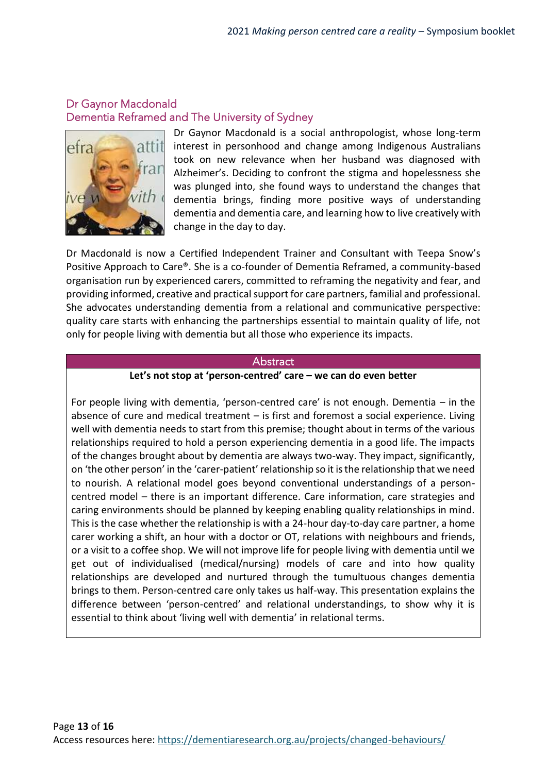# Dr Gaynor Macdonald Dementia Reframed and The University of Sydney



Dr Gaynor Macdonald is a social anthropologist, whose long-term interest in personhood and change among Indigenous Australians took on new relevance when her husband was diagnosed with Alzheimer's. Deciding to confront the stigma and hopelessness she was plunged into, she found ways to understand the changes that dementia brings, finding more positive ways of understanding dementia and dementia care, and learning how to live creatively with change in the day to day.

Dr Macdonald is now a Certified Independent Trainer and Consultant with Teepa Snow's Positive Approach to Care®. She is a co-founder of Dementia Reframed, a community-based organisation run by experienced carers, committed to reframing the negativity and fear, and providing informed, creative and practical support for care partners, familial and professional. She advocates understanding dementia from a relational and communicative perspective: quality care starts with enhancing the partnerships essential to maintain quality of life, not only for people living with dementia but all those who experience its impacts.

#### **Abstract**

#### **Let's not stop at 'person-centred' care – we can do even better**

For people living with dementia, 'person-centred care' is not enough. Dementia – in the absence of cure and medical treatment – is first and foremost a social experience. Living well with dementia needs to start from this premise; thought about in terms of the various relationships required to hold a person experiencing dementia in a good life. The impacts of the changes brought about by dementia are always two-way. They impact, significantly, on 'the other person' in the 'carer-patient' relationship so it is the relationship that we need to nourish. A relational model goes beyond conventional understandings of a personcentred model – there is an important difference. Care information, care strategies and caring environments should be planned by keeping enabling quality relationships in mind. This is the case whether the relationship is with a 24-hour day-to-day care partner, a home carer working a shift, an hour with a doctor or OT, relations with neighbours and friends, or a visit to a coffee shop. We will not improve life for people living with dementia until we get out of individualised (medical/nursing) models of care and into how quality relationships are developed and nurtured through the tumultuous changes dementia brings to them. Person-centred care only takes us half-way. This presentation explains the difference between 'person-centred' and relational understandings, to show why it is essential to think about 'living well with dementia' in relational terms.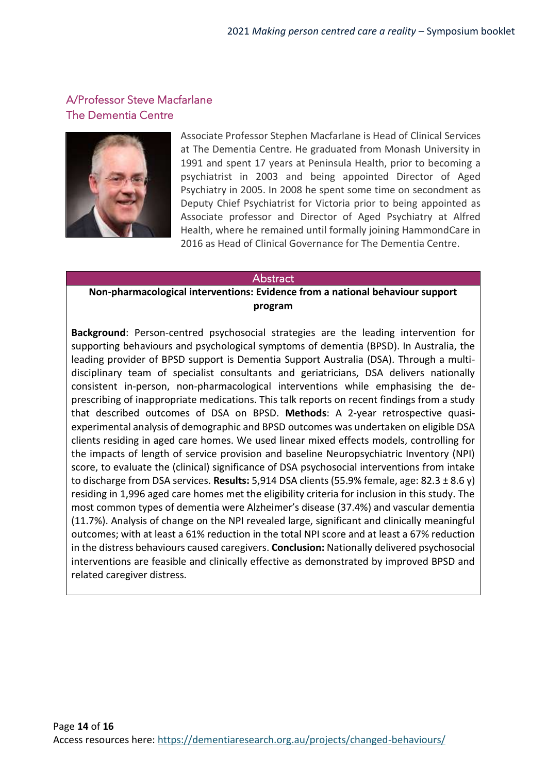# A/Professor Steve Macfarlane The Dementia Centre



Associate Professor Stephen Macfarlane is Head of Clinical Services at The Dementia Centre. He graduated from Monash University in 1991 and spent 17 years at Peninsula Health, prior to becoming a psychiatrist in 2003 and being appointed Director of Aged Psychiatry in 2005. In 2008 he spent some time on secondment as Deputy Chief Psychiatrist for Victoria prior to being appointed as Associate professor and Director of Aged Psychiatry at Alfred Health, where he remained until formally joining HammondCare in 2016 as Head of Clinical Governance for The Dementia Centre.

#### **Abstract**

#### **Non-pharmacological interventions: Evidence from a national behaviour support program**

**Background**: Person-centred psychosocial strategies are the leading intervention for supporting behaviours and psychological symptoms of dementia (BPSD). In Australia, the leading provider of BPSD support is Dementia Support Australia (DSA). Through a multidisciplinary team of specialist consultants and geriatricians, DSA delivers nationally consistent in-person, non-pharmacological interventions while emphasising the deprescribing of inappropriate medications. This talk reports on recent findings from a study that described outcomes of DSA on BPSD. **Methods**: A 2-year retrospective quasiexperimental analysis of demographic and BPSD outcomes was undertaken on eligible DSA clients residing in aged care homes. We used linear mixed effects models, controlling for the impacts of length of service provision and baseline Neuropsychiatric Inventory (NPI) score, to evaluate the (clinical) significance of DSA psychosocial interventions from intake to discharge from DSA services. **Results:** 5,914 DSA clients (55.9% female, age: 82.3 ± 8.6 y) residing in 1,996 aged care homes met the eligibility criteria for inclusion in this study. The most common types of dementia were Alzheimer's disease (37.4%) and vascular dementia (11.7%). Analysis of change on the NPI revealed large, significant and clinically meaningful outcomes; with at least a 61% reduction in the total NPI score and at least a 67% reduction in the distress behaviours caused caregivers. **Conclusion:** Nationally delivered psychosocial interventions are feasible and clinically effective as demonstrated by improved BPSD and related caregiver distress.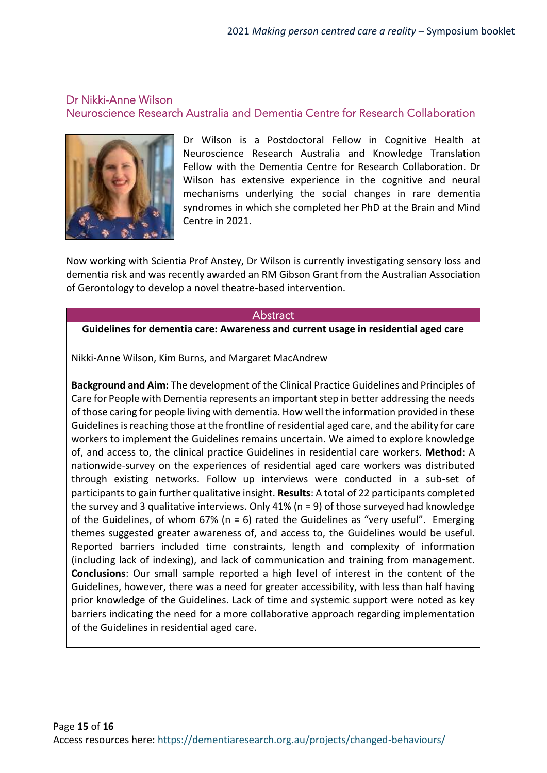# Dr Nikki-Anne Wilson Neuroscience Research Australia and Dementia Centre for Research Collaboration



Dr Wilson is a Postdoctoral Fellow in Cognitive Health at Neuroscience Research Australia and Knowledge Translation Fellow with the Dementia Centre for Research Collaboration. Dr Wilson has extensive experience in the cognitive and neural mechanisms underlying the social changes in rare dementia syndromes in which she completed her PhD at the Brain and Mind Centre in 2021.

Now working with Scientia Prof Anstey, Dr Wilson is currently investigating sensory loss and dementia risk and was recently awarded an RM Gibson Grant from the Australian Association of Gerontology to develop a novel theatre-based intervention.

#### **Abstract**

#### **Guidelines for dementia care: Awareness and current usage in residential aged care**

Nikki-Anne Wilson, Kim Burns, and Margaret MacAndrew

**Background and Aim:** The development of the Clinical Practice Guidelines and Principles of Care for People with Dementia represents an important step in better addressing the needs of those caring for people living with dementia. How well the information provided in these Guidelines is reaching those at the frontline of residential aged care, and the ability for care workers to implement the Guidelines remains uncertain. We aimed to explore knowledge of, and access to, the clinical practice Guidelines in residential care workers. **Method**: A nationwide-survey on the experiences of residential aged care workers was distributed through existing networks. Follow up interviews were conducted in a sub-set of participants to gain further qualitative insight. **Results**: A total of 22 participants completed the survey and 3 qualitative interviews. Only 41% (n = 9) of those surveyed had knowledge of the Guidelines, of whom 67% ( $n = 6$ ) rated the Guidelines as "very useful". Emerging themes suggested greater awareness of, and access to, the Guidelines would be useful. Reported barriers included time constraints, length and complexity of information (including lack of indexing), and lack of communication and training from management. **Conclusions**: Our small sample reported a high level of interest in the content of the Guidelines, however, there was a need for greater accessibility, with less than half having prior knowledge of the Guidelines. Lack of time and systemic support were noted as key barriers indicating the need for a more collaborative approach regarding implementation of the Guidelines in residential aged care.